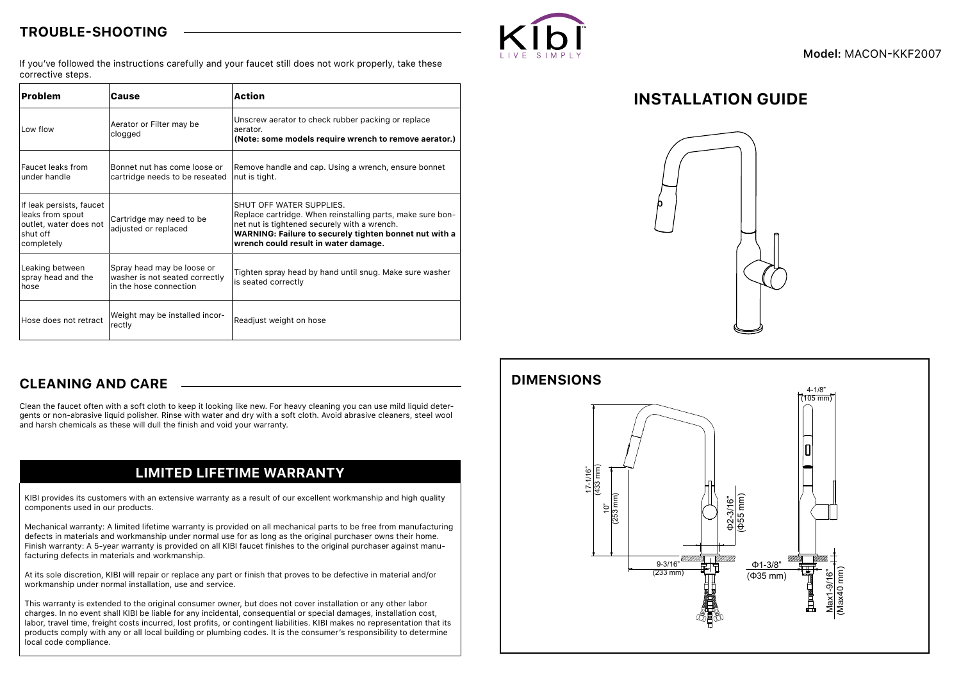### **TROUBLE-SHOOTING**



If you've followed the instructions carefully and your faucet still does not work properly, take these corrective steps.

| <b>Problem</b>                                                                                   | Cause                                                                                  | <b>Action</b>                                                                                                                                                                                                                            |
|--------------------------------------------------------------------------------------------------|----------------------------------------------------------------------------------------|------------------------------------------------------------------------------------------------------------------------------------------------------------------------------------------------------------------------------------------|
| Low flow                                                                                         | Aerator or Filter may be<br>clogged                                                    | Unscrew aerator to check rubber packing or replace<br>aerator.<br>(Note: some models require wrench to remove aerator.)                                                                                                                  |
| Faucet leaks from<br>under handle                                                                | Bonnet nut has come loose or<br>cartridge needs to be reseated                         | Remove handle and cap. Using a wrench, ensure bonnet<br>nut is tight.                                                                                                                                                                    |
| If leak persists, faucet<br>leaks from spout<br>outlet, water does not<br>shut off<br>completely | Cartridge may need to be<br>adjusted or replaced                                       | SHUT OFF WATER SUPPLIES.<br>Replace cartridge. When reinstalling parts, make sure bon-<br>net nut is tightened securely with a wrench.<br>WARNING: Failure to securely tighten bonnet nut with a<br>wrench could result in water damage. |
| Leaking between<br>spray head and the<br>hose                                                    | Spray head may be loose or<br>washer is not seated correctly<br>in the hose connection | Tighten spray head by hand until snug. Make sure washer<br>is seated correctly                                                                                                                                                           |
| Hose does not retract                                                                            | Weight may be installed incor-<br>rectly                                               | Readjust weight on hose                                                                                                                                                                                                                  |

# **INSTALLATION GUIDE**



### **CLEANING AND CARE**

Clean the faucet often with a soft cloth to keep it looking like new. For heavy cleaning you can use mild liquid detergents or non-abrasive liquid polisher. Rinse with water and dry with a soft cloth. Avoid abrasive cleaners, steel wool and harsh chemicals as these will dull the finish and void your warranty.

## **LIMITED LIFETIME WARRANTY**

KIBI provides its customers with an extensive warranty as a result of our excellent workmanship and high quality components used in our products.

Mechanical warranty: A limited lifetime warranty is provided on all mechanical parts to be free from manufacturing defects in materials and workmanship under normal use for as long as the original purchaser owns their home. Finish warranty: A 5-year warranty is provided on all KIBI faucet finishes to the original purchaser against manufacturing defects in materials and workmanship.

At its sole discretion, KIBI will repair or replace any part or finish that proves to be defective in material and/or workmanship under normal installation, use and service.

This warranty is extended to the original consumer owner, but does not cover installation or any other labor charges. In no event shall KIBI be liable for any incidental, consequential or special damages, installation cost, labor, travel time, freight costs incurred, lost profits, or contingent liabilities. KIBI makes no representation that its products comply with any or all local building or plumbing codes. It is the consumer's responsibility to determine local code compliance.